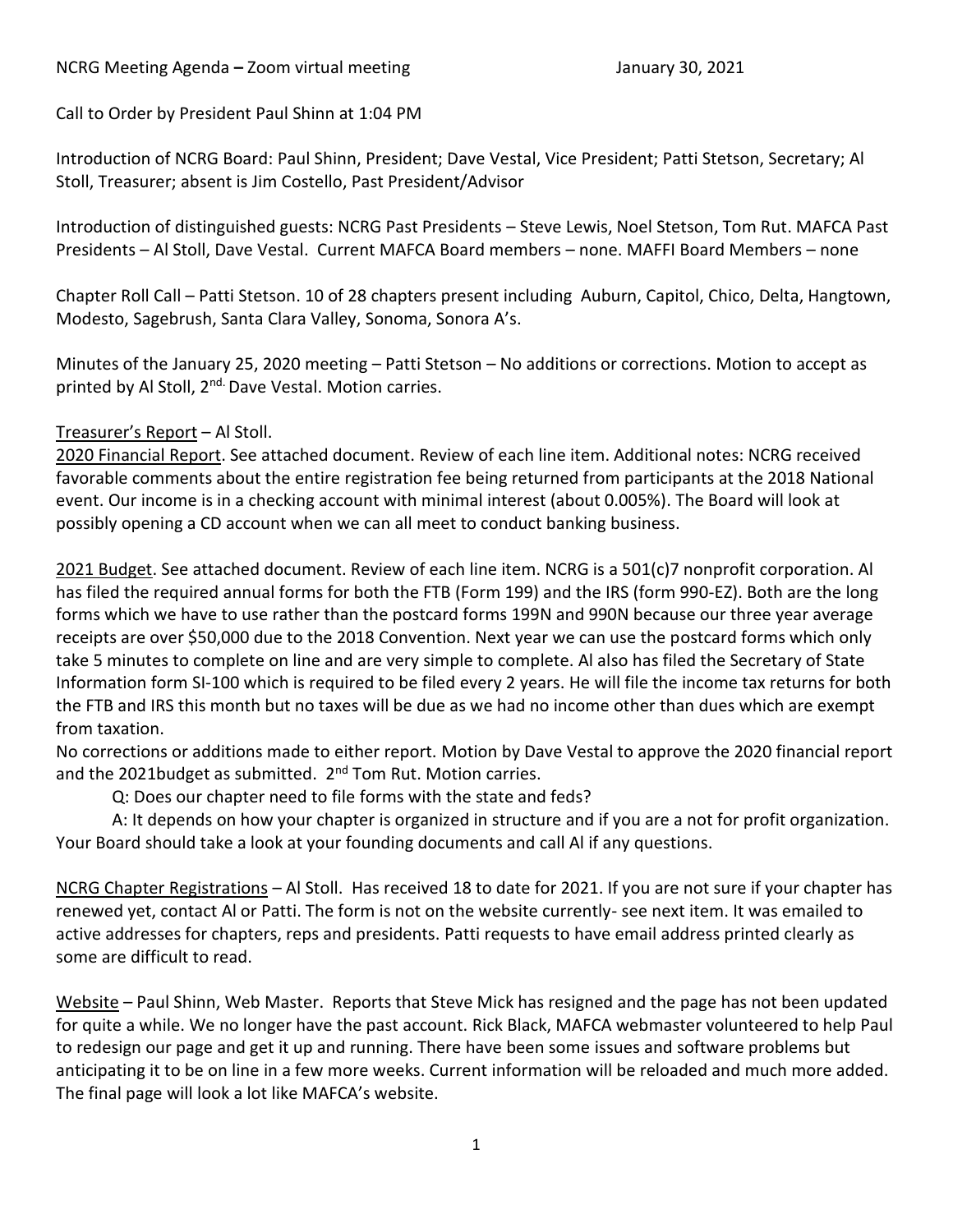### NCRG Meeting Agenda – Zoom virtual meeting January 30, 2021

Call to Order by President Paul Shinn at 1:04 PM

Introduction of NCRG Board: Paul Shinn, President; Dave Vestal, Vice President; Patti Stetson, Secretary; Al Stoll, Treasurer; absent is Jim Costello, Past President/Advisor

Introduction of distinguished guests: NCRG Past Presidents – Steve Lewis, Noel Stetson, Tom Rut. MAFCA Past Presidents – Al Stoll, Dave Vestal. Current MAFCA Board members – none. MAFFI Board Members – none

Chapter Roll Call – Patti Stetson. 10 of 28 chapters present including Auburn, Capitol, Chico, Delta, Hangtown, Modesto, Sagebrush, Santa Clara Valley, Sonoma, Sonora A's.

Minutes of the January 25, 2020 meeting – Patti Stetson – No additions or corrections. Motion to accept as printed by Al Stoll, 2<sup>nd.</sup> Dave Vestal. Motion carries.

### Treasurer's Report – Al Stoll.

2020 Financial Report. See attached document. Review of each line item. Additional notes: NCRG received favorable comments about the entire registration fee being returned from participants at the 2018 National event. Our income is in a checking account with minimal interest (about 0.005%). The Board will look at possibly opening a CD account when we can all meet to conduct banking business.

2021 Budget. See attached document. Review of each line item. NCRG is a 501(c)7 nonprofit corporation. Al has filed the required annual forms for both the FTB (Form 199) and the IRS (form 990-EZ). Both are the long forms which we have to use rather than the postcard forms 199N and 990N because our three year average receipts are over \$50,000 due to the 2018 Convention. Next year we can use the postcard forms which only take 5 minutes to complete on line and are very simple to complete. Al also has filed the Secretary of State Information form SI-100 which is required to be filed every 2 years. He will file the income tax returns for both the FTB and IRS this month but no taxes will be due as we had no income other than dues which are exempt from taxation.

No corrections or additions made to either report. Motion by Dave Vestal to approve the 2020 financial report and the 2021budget as submitted. 2<sup>nd</sup> Tom Rut. Motion carries.

Q: Does our chapter need to file forms with the state and feds?

A: It depends on how your chapter is organized in structure and if you are a not for profit organization. Your Board should take a look at your founding documents and call Al if any questions.

NCRG Chapter Registrations – Al Stoll. Has received 18 to date for 2021. If you are not sure if your chapter has renewed yet, contact Al or Patti. The form is not on the website currently- see next item. It was emailed to active addresses for chapters, reps and presidents. Patti requests to have email address printed clearly as some are difficult to read.

Website – Paul Shinn, Web Master. Reports that Steve Mick has resigned and the page has not been updated for quite a while. We no longer have the past account. Rick Black, MAFCA webmaster volunteered to help Paul to redesign our page and get it up and running. There have been some issues and software problems but anticipating it to be on line in a few more weeks. Current information will be reloaded and much more added. The final page will look a lot like MAFCA's website.